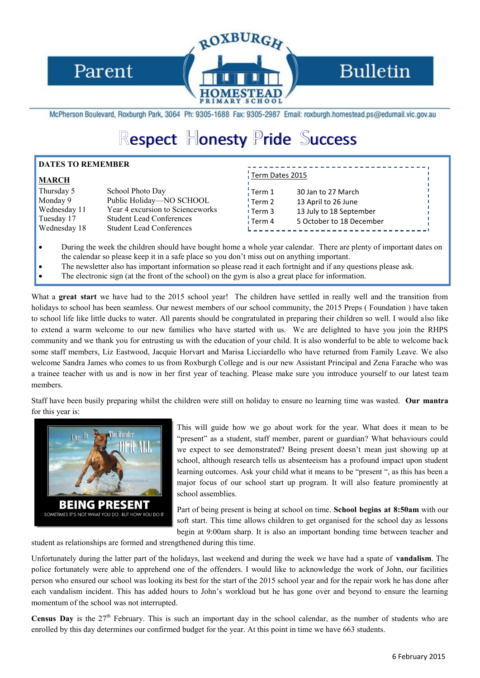

## **Bulletin**

McPherson Boulevard, Roxburgh Park, 3064 Ph: 9305-1688 Fax: 9305-2987 Email: roxburgh.homestead.ps@edumail.vic.gov.au

URGH

# Respect Honesty Pride Success

#### **DATES TO REMEMBER**

#### **MARCH**

| Thursday 5<br>Monday 9<br>Wednesday 11<br>Tuesday 17 | School Photo Day<br>Public Holiday-NO SCHOOL<br>Year 4 excursion to Scienceworks<br><b>Student Lead Conferences</b> |
|------------------------------------------------------|---------------------------------------------------------------------------------------------------------------------|
| Wednesday 18                                         | <b>Student Lead Conferences</b>                                                                                     |
|                                                      |                                                                                                                     |

### Term Dates 2015

| Term 1   | 30 Jan to 27 March       |
|----------|--------------------------|
| Term 2   | 13 April to 26 June      |
| ∣ Term 3 | 13 July to 18 September  |
| i Term 4 | 5 October to 18 December |
|          |                          |

- During the week the children should have bought home a whole year calendar. There are plenty of important dates on the calendar so please keep it in a safe place so you don't miss out on anything important.
- The newsletter also has important information so please read it each fortnight and if any questions please ask.
- The electronic sign (at the front of the school) on the gym is also a great place for information.

What a **great start** we have had to the 2015 school year! The children have settled in really well and the transition from holidays to school has been seamless. Our newest members of our school community, the 2015 Preps (Foundation) have taken to school life like little ducks to water. All parents should be congratulated in preparing their children so well. I would also like to extend a warm welcome to our new families who have started with us. We are delighted to have you join the RHPS community and we thank you for entrusting us with the education of your child. It is also wonderful to be able to welcome back some staff members, Liz Eastwood, Jacquie Horvart and Marisa Licciardello who have returned from Family Leave. We also welcome Sandra James who comes to us from Roxburgh College and is our new Assistant Principal and Zena Farache who was a trainee teacher with us and is now in her first year of teaching. Please make sure you introduce yourself to our latest team members.

Staff have been busily preparing whilst the children were still on holiday to ensure no learning time was wasted. **Our mantra** for this year is:



This will guide how we go about work for the year. What does it mean to be "present" as a student, staff member, parent or guardian? What behaviours could we expect to see demonstrated? Being present doesn't mean just showing up at school, although research tells us absenteeism has a profound impact upon student learning outcomes. Ask your child what it means to be "present ", as this has been a major focus of our school start up program. It will also feature prominently at school assemblies.

Part of being present is being at school on time. **School begins at 8:50am** with our soft start. This time allows children to get organised for the school day as lessons begin at 9:00am sharp. It is also an important bonding time between teacher and

student as relationships are formed and strengthened during this time.

Unfortunately during the latter part of the holidays, last weekend and during the week we have had a spate of **vandalism**. The police fortunately were able to apprehend one of the offenders. I would like to acknowledge the work of John, our facilities person who ensured our school was looking its best for the start of the 2015 school year and for the repair work he has done after each vandalism incident. This has added hours to John's workload but he has gone over and beyond to ensure the learning momentum of the school was not interrupted.

**Census Day** is the 27<sup>th</sup> February. This is such an important day in the school calendar, as the number of students who are enrolled by this day determines our confirmed budget for the year. At this point in time we have 663 students.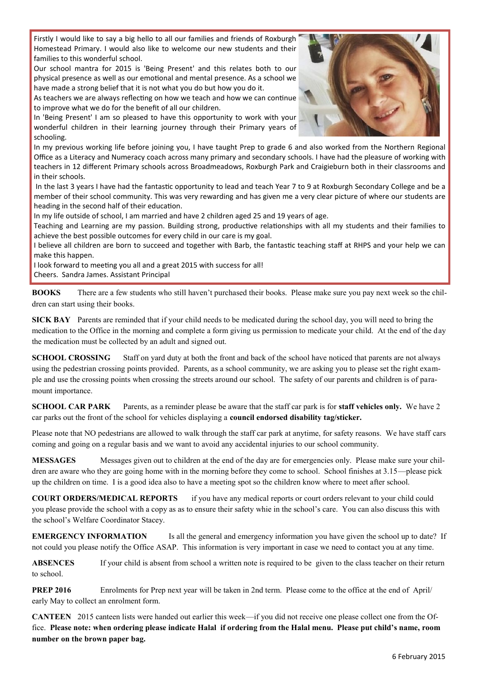Firstly I would like to say a big hello to all our families and friends of Roxburgh Homestead Primary. I would also like to welcome our new students and their families to this wonderful school.

Our school mantra for 2015 is 'Being Present' and this relates both to our physical presence as well as our emotional and mental presence. As a school we have made a strong belief that it is not what you do but how you do it.

As teachers we are always reflecting on how we teach and how we can continue to improve what we do for the benefit of all our children.

In 'Being Present' I am so pleased to have this opportunity to work with your wonderful children in their learning journey through their Primary years of schooling.



In my previous working life before joining you, I have taught Prep to grade 6 and also worked from the Northern Regional Office as a Literacy and Numeracy coach across many primary and secondary schools. I have had the pleasure of working with teachers in 12 different Primary schools across Broadmeadows, Roxburgh Park and Craigieburn both in their classrooms and in their schools.

In the last 3 years I have had the fantastic opportunity to lead and teach Year 7 to 9 at Roxburgh Secondary College and be a member of their school community. This was very rewarding and has given me a very clear picture of where our students are heading in the second half of their education.

In my life outside of school, I am married and have 2 children aged 25 and 19 years of age.

Teaching and Learning are my passion. Building strong, productive relationships with all my students and their families to achieve the best possible outcomes for every child in our care is my goal.

I believe all children are born to succeed and together with Barb, the fantastic teaching staff at RHPS and your help we can make this happen.

I look forward to meeting you all and a great 2015 with success for all! Cheers. Sandra James. Assistant Principal

**BOOKS** There are a few students who still haven't purchased their books. Please make sure you pay next week so the children can start using their books.

**SICK BAY** Parents are reminded that if your child needs to be medicated during the school day, you will need to bring the medication to the Office in the morning and complete a form giving us permission to medicate your child. At the end of the day the medication must be collected by an adult and signed out.

**SCHOOL CROSSING** Staff on yard duty at both the front and back of the school have noticed that parents are not always using the pedestrian crossing points provided. Parents, as a school community, we are asking you to please set the right example and use the crossing points when crossing the streets around our school. The safety of our parents and children is of paramount importance.

**SCHOOL CAR PARK** Parents, as a reminder please be aware that the staff car park is for **staff vehicles only.** We have 2 car parks out the front of the school for vehicles displaying a **council endorsed disability tag/sticker.**

Please note that NO pedestrians are allowed to walk through the staff car park at anytime, for safety reasons. We have staff cars coming and going on a regular basis and we want to avoid any accidental injuries to our school community.

**MESSAGES** Messages given out to children at the end of the day are for emergencies only. Please make sure your children are aware who they are going home with in the morning before they come to school. School finishes at 3.15—please pick up the children on time. I is a good idea also to have a meeting spot so the children know where to meet after school.

**COURT ORDERS/MEDICAL REPORTS** if you have any medical reports or court orders relevant to your child could you please provide the school with a copy as as to ensure their safety whie in the school's care. You can also discuss this with the school's Welfare Coordinator Stacey.

**EMERGENCY INFORMATION** Is all the general and emergency information you have given the school up to date? If not could you please notify the Office ASAP. This information is very important in case we need to contact you at any time.

**ABSENCES** If your child is absent from school a written note is required to be given to the class teacher on their return to school.

**PREP 2016** Enrolments for Prep next year will be taken in 2nd term. Please come to the office at the end of April/ early May to collect an enrolment form.

**CANTEEN** 2015 canteen lists were handed out earlier this week—if you did not receive one please collect one from the Office. **Please note: when ordering please indicate Halal if ordering from the Halal menu. Please put child's name, room number on the brown paper bag.**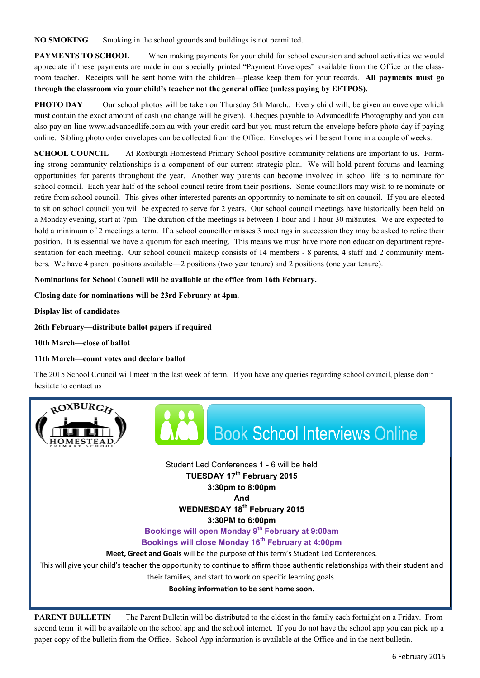**NO SMOKING** Smoking in the school grounds and buildings is not permitted.

**PAYMENTS TO SCHOOL** When making payments for your child for school excursion and school activities we would appreciate if these payments are made in our specially printed "Payment Envelopes" available from the Office or the classroom teacher. Receipts will be sent home with the children—please keep them for your records. **All payments must go through the classroom via your child's teacher not the general office (unless paying by EFTPOS).**

**PHOTO DAY** Our school photos will be taken on Thursday 5th March.. Every child will; be given an envelope which must contain the exact amount of cash (no change will be given). Cheques payable to Advancedlife Photography and you can also pay on-line www.advancedlife.com.au with your credit card but you must return the envelope before photo day if paying online. Sibling photo order envelopes can be collected from the Office. Envelopes will be sent home in a couple of weeks.

**SCHOOL COUNCIL** At Roxburgh Homestead Primary School positive community relations are important to us. Forming strong community relationships is a component of our current strategic plan. We will hold parent forums and learning opportunities for parents throughout the year. Another way parents can become involved in school life is to nominate for school council. Each year half of the school council retire from their positions. Some councillors may wish to re nominate or retire from school council. This gives other interested parents an opportunity to nominate to sit on council. If you are elected to sit on school council you will be expected to serve for 2 years. Our school council meetings have historically been held on a Monday evening, start at 7pm. The duration of the meetings is between 1 hour and 1 hour 30 mi8nutes. We are expected to hold a minimum of 2 meetings a term. If a school councillor misses 3 meetings in succession they may be asked to retire their position. It is essential we have a quorum for each meeting. This means we must have more non education department representation for each meeting. Our school council makeup consists of 14 members - 8 parents, 4 staff and 2 community members. We have 4 parent positions available—2 positions (two year tenure) and 2 positions (one year tenure).

#### **Nominations for School Council will be available at the office from 16th February.**

#### **Closing date for nominations will be 23rd February at 4pm.**

**Display list of candidates**

**26th February—distribute ballot papers if required**

**10th March—close of ballot**

#### **11th March—count votes and declare ballot**

The 2015 School Council will meet in the last week of term. If you have any queries regarding school council, please don't hesitate to contact us



Student Led Conferences 1 - 6 will be held **TUESDAY 17th February 2015** 

#### **3:30pm to 8:00pm**

**And**

**WEDNESDAY 18th February 2015**

**3:30PM to 6:00pm**

**Bookings will open Monday 9th February at 9:00am**

#### **Bookings will close Monday 16th February at 4:00pm**

**Meet, Greet and Goals** will be the purpose of this term's Student Led Conferences.

This will give your child's teacher the opportunity to continue to affirm those authentic relationships with their student and their families, and start to work on specific learning goals.

**Booking information to be sent home soon.**

**PARENT BULLETIN** The Parent Bulletin will be distributed to the eldest in the family each fortnight on a Friday. From second term it will be available on the school app and the school internet. If you do not have the school app you can pick up a paper copy of the bulletin from the Office. School App information is available at the Office and in the next bulletin.